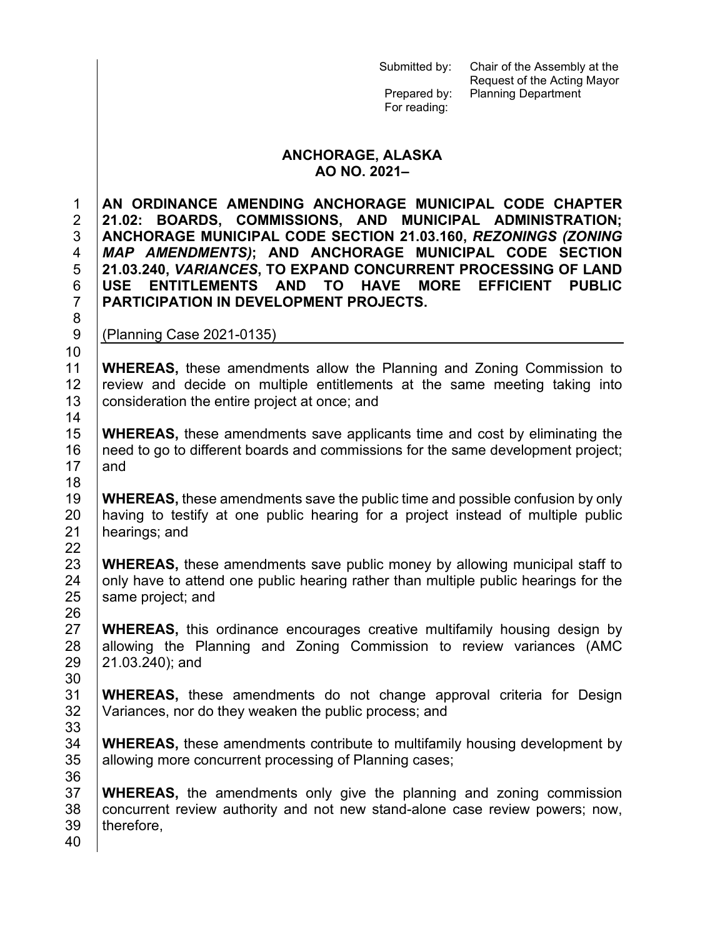Prepared by: Planning Department For reading: **ANCHORAGE, ALASKA AO NO. 2021– AN ORDINANCE AMENDING ANCHORAGE MUNICIPAL CODE CHAPTER 21.02: BOARDS, COMMISSIONS, AND MUNICIPAL ADMINISTRATION; ANCHORAGE MUNICIPAL CODE SECTION 21.03.160,** *REZONINGS (ZONING MAP AMENDMENTS)***; AND ANCHORAGE MUNICIPAL CODE SECTION 21.03.240,** *VARIANCES***, TO EXPAND CONCURRENT PROCESSING OF LAND USE ENTITLEMENTS AND TO HAVE MORE EFFICIENT PUBLIC PARTICIPATION IN DEVELOPMENT PROJECTS.** (Planning Case 2021-0135) **WHEREAS,** these amendments allow the Planning and Zoning Commission to<br>12 Treview and decide on multiple entitlements at the same meeting taking into review and decide on multiple entitlements at the same meeting taking into 13 consideration the entire project at once; and **WHEREAS,** these amendments save applicants time and cost by eliminating the 16 | need to go to different boards and commissions for the same development project;  $|$  and 19 **WHEREAS**, these amendments save the public time and possible confusion by only<br>20 **having to testify at one public hearing for a project instead of multiple public** having to testify at one public hearing for a project instead of multiple public hearings; and **WHEREAS,** these amendments save public money by allowing municipal staff to 24  $\parallel$  only have to attend one public hearing rather than multiple public hearings for the same project; and **WHEREAS,** this ordinance encourages creative multifamily housing design by 28 allowing the Planning and Zoning Commission to review variances (AMC 21.03.240); and 31 **WHEREAS**, these amendments do not change approval criteria for Design <br>32 Variances nor do they weaken the public process: and Variances, nor do they weaken the public process; and **WHEREAS,** these amendments contribute to multifamily housing development by 35 allowing more concurrent processing of Planning cases; **WHEREAS,** the amendments only give the planning and zoning commission 38 concurrent review authority and not new stand-alone case review powers; now, | therefore,

Submitted by: Chair of the Assembly at the

Request of the Acting Mayor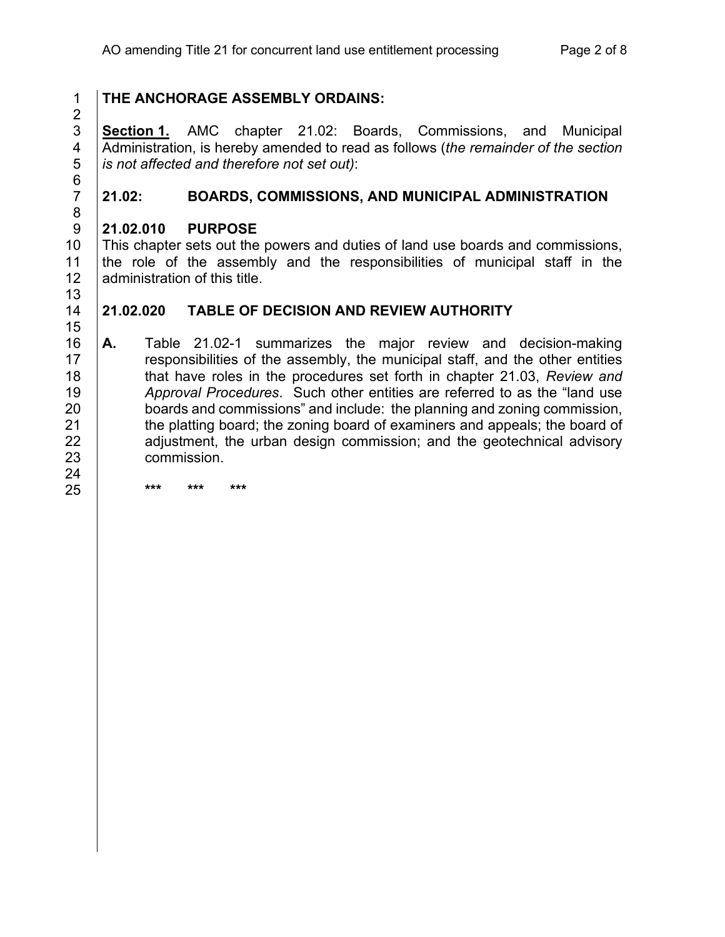$\frac{2}{3}$ 6<br>7

# **THE ANCHORAGE ASSEMBLY ORDAINS:**

 **Section 1.** AMC chapter 21.02: Boards, Commissions, and Municipal Administration, is hereby amended to read as follows (*the remainder of the section is not affected and therefore not set out)*:

# **21.02: BOARDS, COMMISSIONS, AND MUNICIPAL ADMINISTRATION**

### **21.02.010 PURPOSE**

**\*\*\* \*\*\* \*\*\***

10 This chapter sets out the powers and duties of land use boards and commissions,<br>11 The role of the assembly and the responsibilities of municipal staff in the the role of the assembly and the responsibilities of municipal staff in the 12 administration of this title.

## **21.02.020 TABLE OF DECISION AND REVIEW AUTHORITY**

 **A.** Table 21.02-1 summarizes the major review and decision-making 17 | responsibilities of the assembly, the municipal staff, and the other entities that have roles in the procedures set forth in chapter 21.03, *Review and Approval Procedures*. Such other entities are referred to as the "land use 20 boards and commissions" and include: the planning and zoning commission,<br>21 the platting board: the zoning board of examiners and appeals: the board of the platting board; the zoning board of examiners and appeals; the board of **a**djustment, the urban design commission; and the geotechnical advisory commission.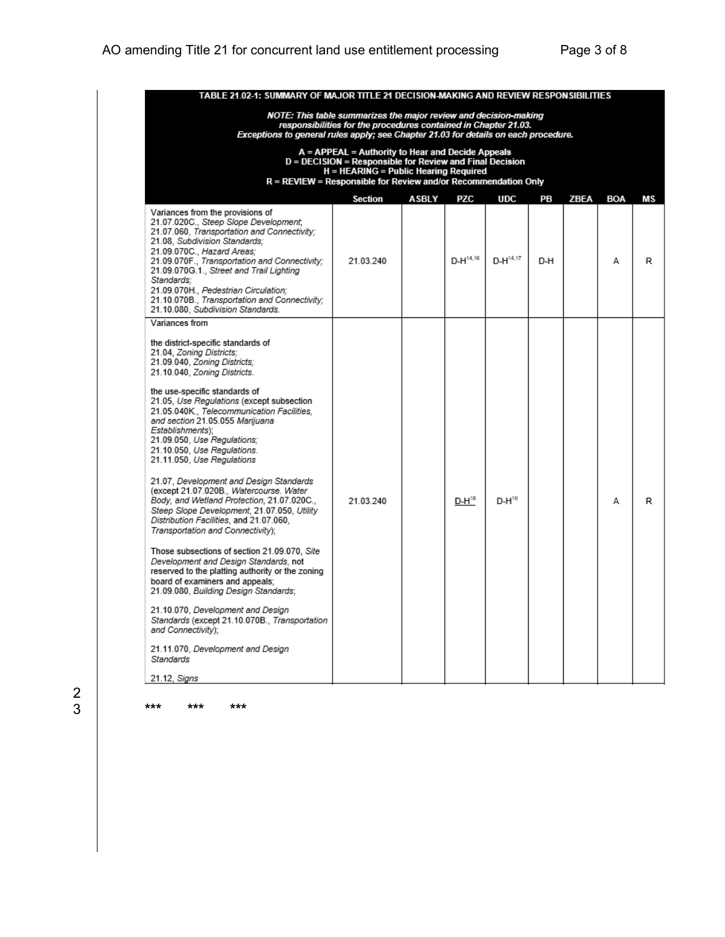| TABLE 21.02-1: SUMMARY OF MAJOR TITLE 21 DECISION-MAKING AND REVIEW RESPONSIBILITIES                                                                                                                                                                                                                                                                                                                                                                                                                                                                                                                                                                                                                                                                                                                                                                                                                                                                                                                                                                                                    |           |  |               |               |     |  |   |   |  |  |
|-----------------------------------------------------------------------------------------------------------------------------------------------------------------------------------------------------------------------------------------------------------------------------------------------------------------------------------------------------------------------------------------------------------------------------------------------------------------------------------------------------------------------------------------------------------------------------------------------------------------------------------------------------------------------------------------------------------------------------------------------------------------------------------------------------------------------------------------------------------------------------------------------------------------------------------------------------------------------------------------------------------------------------------------------------------------------------------------|-----------|--|---------------|---------------|-----|--|---|---|--|--|
| NOTE: This table summarizes the major review and decision-making<br>responsibilities for the procedures contained in Chapter 21.03.<br>Exceptions to general rules apply; see Chapter 21.03 for details on each procedure.                                                                                                                                                                                                                                                                                                                                                                                                                                                                                                                                                                                                                                                                                                                                                                                                                                                              |           |  |               |               |     |  |   |   |  |  |
| A = APPEAL = Authority to Hear and Decide Appeals<br>D = DECISION = Responsible for Review and Final Decision<br>H = HEARING = Public Hearing Required<br>$R = REVIEW = Response$ Responsible for Review and/or Recommendation Only                                                                                                                                                                                                                                                                                                                                                                                                                                                                                                                                                                                                                                                                                                                                                                                                                                                     |           |  |               |               |     |  |   |   |  |  |
| Section<br>ASBLY<br><b>PZC</b><br><b>UDC</b><br>PВ<br>ZBEA<br>BOA<br>мs                                                                                                                                                                                                                                                                                                                                                                                                                                                                                                                                                                                                                                                                                                                                                                                                                                                                                                                                                                                                                 |           |  |               |               |     |  |   |   |  |  |
| Variances from the provisions of<br>21.07.020C., Steep Slope Development;<br>21.07.060, Transportation and Connectivity;<br>21.08, Subdivision Standards;<br>21.09.070C., Hazard Areas;<br>21.09.070F., Transportation and Connectivity;<br>21.09.070G.1., Street and Trail Lighting<br>Standards:<br>21.09.070H., Pedestrian Circulation:<br>21.10.070B., Transportation and Connectivity;<br>21.10.080. Subdivision Standards.                                                                                                                                                                                                                                                                                                                                                                                                                                                                                                                                                                                                                                                        | 21.03.240 |  | $D-H^{14,16}$ | $D-H^{14,17}$ | D-H |  | Α | R |  |  |
| Variances from                                                                                                                                                                                                                                                                                                                                                                                                                                                                                                                                                                                                                                                                                                                                                                                                                                                                                                                                                                                                                                                                          |           |  |               |               |     |  |   |   |  |  |
| the district-specific standards of<br>21.04, Zoning Districts:<br>21.09.040, Zoning Districts;<br>21.10.040, Zoning Districts.<br>the use-specific standards of<br>21.05, Use Regulations (except subsection<br>21.05.040K., Telecommunication Facilities,<br>and section 21.05.055 Marijuana<br>Establishments):<br>21.09.050, Use Regulations;<br>21.10.050, Use Regulations.<br>21.11.050, Use Regulations<br>21.07, Development and Design Standards<br>(except 21.07.020B., Watercourse. Water<br>Body, and Wetland Protection, 21.07.020C.,<br>Steep Slope Development, 21.07.050, Utility<br>Distribution Facilities, and 21.07.060,<br>Transportation and Connectivity):<br>Those subsections of section 21.09.070, Site<br>Development and Design Standards, not<br>reserved to the platting authority or the zoning<br>board of examiners and appeals:<br>21.09.080, Building Design Standards;<br>21.10.070, Development and Design<br>Standards (except 21.10.070B., Transportation<br>and Connectivity):<br>21.11.070, Development and Design<br>Standards<br>21.12, Signs | 21.03.240 |  | $D-H^{18}$    | $D-H^{16}$    |     |  | А | R |  |  |

 $\frac{2}{3}$ 

3 **\*\*\* \*\*\* \*\*\***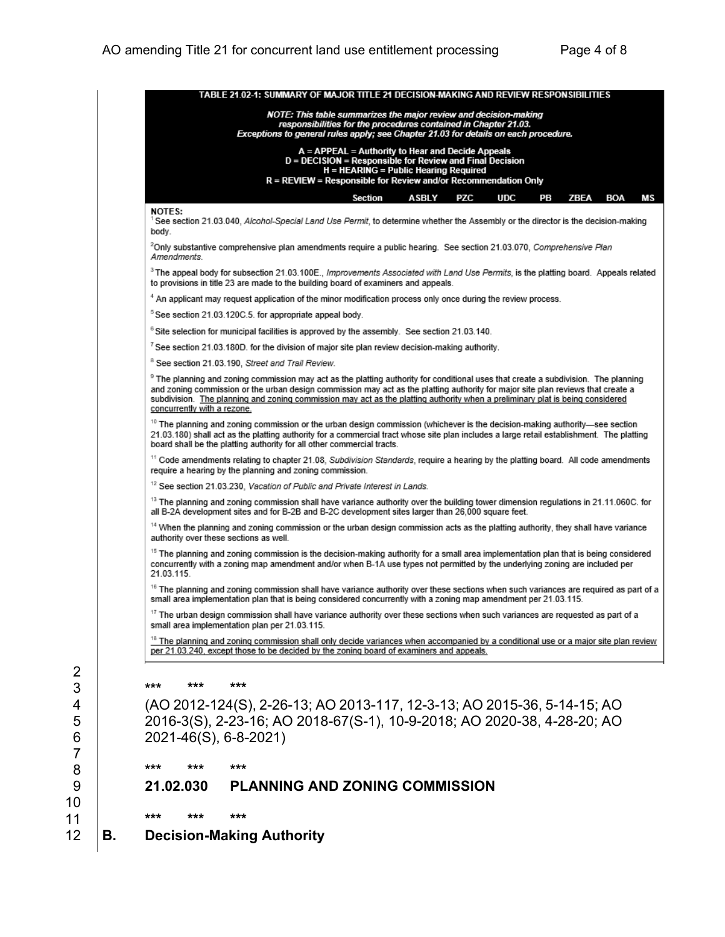|                                                                                                                                                            | TABLE 21.02-1: SUMMARY OF MAJOR TITLE 21 DECISION-MAKING AND REVIEW RESPONSIBILITIES                                                                                                                                                                                                                                                                                                                                                                                                                                                                                                                                                                                                                                                                                                                                                                                                                                                                                                                                                                                                                                                                                                                                   |  |  |  |  |  |  |  |  |
|------------------------------------------------------------------------------------------------------------------------------------------------------------|------------------------------------------------------------------------------------------------------------------------------------------------------------------------------------------------------------------------------------------------------------------------------------------------------------------------------------------------------------------------------------------------------------------------------------------------------------------------------------------------------------------------------------------------------------------------------------------------------------------------------------------------------------------------------------------------------------------------------------------------------------------------------------------------------------------------------------------------------------------------------------------------------------------------------------------------------------------------------------------------------------------------------------------------------------------------------------------------------------------------------------------------------------------------------------------------------------------------|--|--|--|--|--|--|--|--|
|                                                                                                                                                            | NOTE: This table summarizes the major review and decision-making                                                                                                                                                                                                                                                                                                                                                                                                                                                                                                                                                                                                                                                                                                                                                                                                                                                                                                                                                                                                                                                                                                                                                       |  |  |  |  |  |  |  |  |
|                                                                                                                                                            | responsibilities for the procedures contained in Chapter 21.03.<br>Exceptions to general rules apply; see Chapter 21.03 for details on each procedure.                                                                                                                                                                                                                                                                                                                                                                                                                                                                                                                                                                                                                                                                                                                                                                                                                                                                                                                                                                                                                                                                 |  |  |  |  |  |  |  |  |
|                                                                                                                                                            | A = APPEAL = Authority to Hear and Decide Appeals<br>D = DECISION = Responsible for Review and Final Decision                                                                                                                                                                                                                                                                                                                                                                                                                                                                                                                                                                                                                                                                                                                                                                                                                                                                                                                                                                                                                                                                                                          |  |  |  |  |  |  |  |  |
|                                                                                                                                                            | H = HEARING = Public Hearing Required<br>R = REVIEW = Responsible for Review and/or Recommendation Only                                                                                                                                                                                                                                                                                                                                                                                                                                                                                                                                                                                                                                                                                                                                                                                                                                                                                                                                                                                                                                                                                                                |  |  |  |  |  |  |  |  |
| <b>ASBLY</b><br>PZC<br>Section<br><b>UDC</b><br>PВ<br>ZBEA<br>BOA                                                                                          |                                                                                                                                                                                                                                                                                                                                                                                                                                                                                                                                                                                                                                                                                                                                                                                                                                                                                                                                                                                                                                                                                                                                                                                                                        |  |  |  |  |  |  |  |  |
| <b>NOTES:</b><br>See section 21.03.040, Alcohol-Special Land Use Permit, to determine whether the Assembly or the director is the decision-making<br>body. |                                                                                                                                                                                                                                                                                                                                                                                                                                                                                                                                                                                                                                                                                                                                                                                                                                                                                                                                                                                                                                                                                                                                                                                                                        |  |  |  |  |  |  |  |  |
|                                                                                                                                                            | <sup>2</sup> Only substantive comprehensive plan amendments require a public hearing. See section 21.03.070, Comprehensive Plan<br>Amendments.                                                                                                                                                                                                                                                                                                                                                                                                                                                                                                                                                                                                                                                                                                                                                                                                                                                                                                                                                                                                                                                                         |  |  |  |  |  |  |  |  |
|                                                                                                                                                            | <sup>3</sup> The appeal body for subsection 21.03.100E., Improvements Associated with Land Use Permits, is the platting board. Appeals related<br>to provisions in title 23 are made to the building board of examiners and appeals.                                                                                                                                                                                                                                                                                                                                                                                                                                                                                                                                                                                                                                                                                                                                                                                                                                                                                                                                                                                   |  |  |  |  |  |  |  |  |
|                                                                                                                                                            | 4 An applicant may request application of the minor modification process only once during the review process.                                                                                                                                                                                                                                                                                                                                                                                                                                                                                                                                                                                                                                                                                                                                                                                                                                                                                                                                                                                                                                                                                                          |  |  |  |  |  |  |  |  |
|                                                                                                                                                            | <sup>5</sup> See section 21.03.120C.5. for appropriate appeal body.                                                                                                                                                                                                                                                                                                                                                                                                                                                                                                                                                                                                                                                                                                                                                                                                                                                                                                                                                                                                                                                                                                                                                    |  |  |  |  |  |  |  |  |
|                                                                                                                                                            | <sup>6</sup> Site selection for municipal facilities is approved by the assembly. See section 21.03.140.                                                                                                                                                                                                                                                                                                                                                                                                                                                                                                                                                                                                                                                                                                                                                                                                                                                                                                                                                                                                                                                                                                               |  |  |  |  |  |  |  |  |
|                                                                                                                                                            | $^7$ See section 21.03.180D. for the division of major site plan review decision-making authority.                                                                                                                                                                                                                                                                                                                                                                                                                                                                                                                                                                                                                                                                                                                                                                                                                                                                                                                                                                                                                                                                                                                     |  |  |  |  |  |  |  |  |
|                                                                                                                                                            | <sup>8</sup> See section 21.03.190, Street and Trail Review.                                                                                                                                                                                                                                                                                                                                                                                                                                                                                                                                                                                                                                                                                                                                                                                                                                                                                                                                                                                                                                                                                                                                                           |  |  |  |  |  |  |  |  |
|                                                                                                                                                            | <sup>9</sup> The planning and zoning commission may act as the platting authority for conditional uses that create a subdivision. The planning<br>and zoning commission or the urban design commission may act as the platting authority for major site plan reviews that create a<br>subdivision. The planning and zoning commission may act as the platting authority when a preliminary plat is being considered<br>concurrently with a rezone.                                                                                                                                                                                                                                                                                                                                                                                                                                                                                                                                                                                                                                                                                                                                                                     |  |  |  |  |  |  |  |  |
|                                                                                                                                                            | <sup>10</sup> The planning and zoning commission or the urban design commission (whichever is the decision-making authority—see section<br>21.03.180) shall act as the platting authority for a commercial tract whose site plan includes a large retail establishment. The platting<br>board shall be the platting authority for all other commercial tracts.                                                                                                                                                                                                                                                                                                                                                                                                                                                                                                                                                                                                                                                                                                                                                                                                                                                         |  |  |  |  |  |  |  |  |
|                                                                                                                                                            | <sup>11</sup> Code amendments relating to chapter 21.08, Subdivision Standards, require a hearing by the platting board. All code amendments<br>require a hearing by the planning and zoning commission.                                                                                                                                                                                                                                                                                                                                                                                                                                                                                                                                                                                                                                                                                                                                                                                                                                                                                                                                                                                                               |  |  |  |  |  |  |  |  |
|                                                                                                                                                            | <sup>12</sup> See section 21.03.230, Vacation of Public and Private Interest in Lands.                                                                                                                                                                                                                                                                                                                                                                                                                                                                                                                                                                                                                                                                                                                                                                                                                                                                                                                                                                                                                                                                                                                                 |  |  |  |  |  |  |  |  |
|                                                                                                                                                            | <sup>13</sup> The planning and zoning commission shall have variance authority over the building tower dimension regulations in 21.11.060C. for<br>all B-2A development sites and for B-2B and B-2C development sites larger than 26,000 square feet.<br><sup>14</sup> When the planning and zoning commission or the urban design commission acts as the platting authority, they shall have variance<br>authority over these sections as well.<br><sup>15</sup> The planning and zoning commission is the decision-making authority for a small area implementation plan that is being considered<br>concurrently with a zoning map amendment and/or when B-1A use types not permitted by the underlying zoning are included per<br>21.03.115.<br><sup>16</sup> The planning and zoning commission shall have variance authority over these sections when such variances are required as part of a<br>small area implementation plan that is being considered concurrently with a zoning map amendment per 21.03.115.<br><sup>17</sup> The urban design commission shall have variance authority over these sections when such variances are requested as part of a<br>small area implementation plan per 21.03.115. |  |  |  |  |  |  |  |  |
|                                                                                                                                                            |                                                                                                                                                                                                                                                                                                                                                                                                                                                                                                                                                                                                                                                                                                                                                                                                                                                                                                                                                                                                                                                                                                                                                                                                                        |  |  |  |  |  |  |  |  |
|                                                                                                                                                            |                                                                                                                                                                                                                                                                                                                                                                                                                                                                                                                                                                                                                                                                                                                                                                                                                                                                                                                                                                                                                                                                                                                                                                                                                        |  |  |  |  |  |  |  |  |
|                                                                                                                                                            |                                                                                                                                                                                                                                                                                                                                                                                                                                                                                                                                                                                                                                                                                                                                                                                                                                                                                                                                                                                                                                                                                                                                                                                                                        |  |  |  |  |  |  |  |  |
|                                                                                                                                                            |                                                                                                                                                                                                                                                                                                                                                                                                                                                                                                                                                                                                                                                                                                                                                                                                                                                                                                                                                                                                                                                                                                                                                                                                                        |  |  |  |  |  |  |  |  |
|                                                                                                                                                            | <sup>18</sup> The planning and zoning commission shall only decide variances when accompanied by a conditional use or a major site plan review<br>per 21.03.240, except those to be decided by the zoning board of examiners and appeals.                                                                                                                                                                                                                                                                                                                                                                                                                                                                                                                                                                                                                                                                                                                                                                                                                                                                                                                                                                              |  |  |  |  |  |  |  |  |
| 2<br>3                                                                                                                                                     | ***<br>***<br>***                                                                                                                                                                                                                                                                                                                                                                                                                                                                                                                                                                                                                                                                                                                                                                                                                                                                                                                                                                                                                                                                                                                                                                                                      |  |  |  |  |  |  |  |  |
| 4                                                                                                                                                          | (AO 2012-124(S), 2-26-13; AO 2013-117, 12-3-13; AO 2015-36, 5-14-15; AO<br>2016-3(S), 2-23-16; AO 2018-67(S-1), 10-9-2018; AO 2020-38, 4-28-20; AO<br>2021-46(S), 6-8-2021)                                                                                                                                                                                                                                                                                                                                                                                                                                                                                                                                                                                                                                                                                                                                                                                                                                                                                                                                                                                                                                            |  |  |  |  |  |  |  |  |
| 5                                                                                                                                                          |                                                                                                                                                                                                                                                                                                                                                                                                                                                                                                                                                                                                                                                                                                                                                                                                                                                                                                                                                                                                                                                                                                                                                                                                                        |  |  |  |  |  |  |  |  |
| 6                                                                                                                                                          |                                                                                                                                                                                                                                                                                                                                                                                                                                                                                                                                                                                                                                                                                                                                                                                                                                                                                                                                                                                                                                                                                                                                                                                                                        |  |  |  |  |  |  |  |  |
| 7<br>8                                                                                                                                                     | ***<br>***<br>***                                                                                                                                                                                                                                                                                                                                                                                                                                                                                                                                                                                                                                                                                                                                                                                                                                                                                                                                                                                                                                                                                                                                                                                                      |  |  |  |  |  |  |  |  |
| 9                                                                                                                                                          | <b>PLANNING AND ZONING COMMISSION</b><br>21.02.030                                                                                                                                                                                                                                                                                                                                                                                                                                                                                                                                                                                                                                                                                                                                                                                                                                                                                                                                                                                                                                                                                                                                                                     |  |  |  |  |  |  |  |  |
| 10<br>11                                                                                                                                                   | ***<br>***<br>***                                                                                                                                                                                                                                                                                                                                                                                                                                                                                                                                                                                                                                                                                                                                                                                                                                                                                                                                                                                                                                                                                                                                                                                                      |  |  |  |  |  |  |  |  |
| 12<br>В.                                                                                                                                                   | <b>Decision-Making Authority</b>                                                                                                                                                                                                                                                                                                                                                                                                                                                                                                                                                                                                                                                                                                                                                                                                                                                                                                                                                                                                                                                                                                                                                                                       |  |  |  |  |  |  |  |  |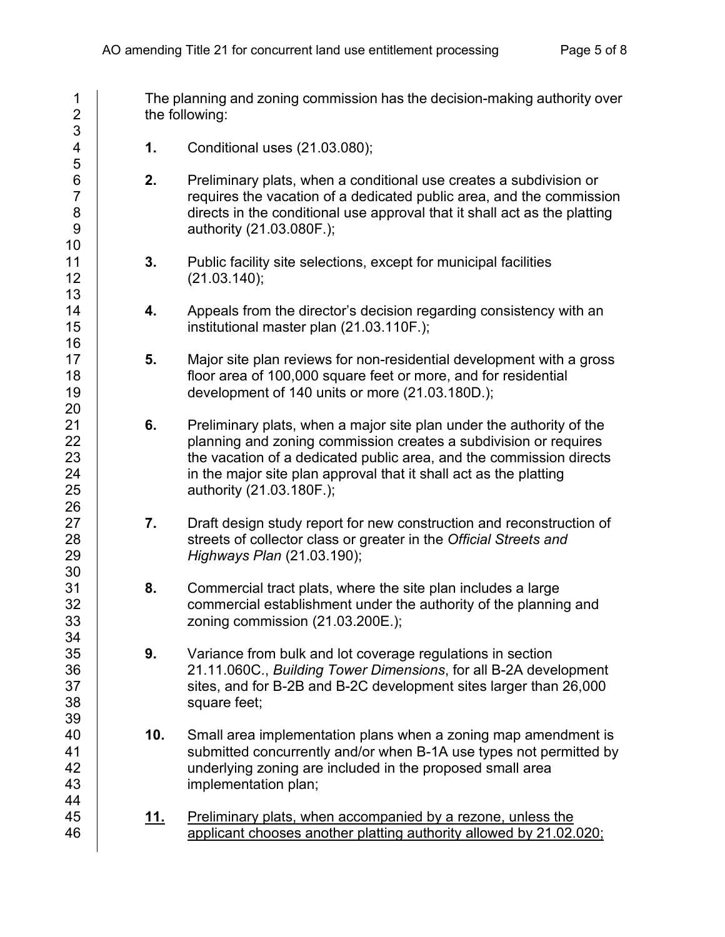| 1<br>$\overline{c}$                               |             | The planning and zoning commission has the decision-making authority over<br>the following:                                                                                                                                                                                                                      |
|---------------------------------------------------|-------------|------------------------------------------------------------------------------------------------------------------------------------------------------------------------------------------------------------------------------------------------------------------------------------------------------------------|
| 3<br>4<br>5                                       | 1.          | Conditional uses (21.03.080);                                                                                                                                                                                                                                                                                    |
| $\,6$<br>$\overline{7}$<br>$\bf 8$<br>$9\,$<br>10 | 2.          | Preliminary plats, when a conditional use creates a subdivision or<br>requires the vacation of a dedicated public area, and the commission<br>directs in the conditional use approval that it shall act as the platting<br>authority (21.03.080F.);                                                              |
| 11<br>12<br>13                                    | 3.          | Public facility site selections, except for municipal facilities<br>(21.03.140);                                                                                                                                                                                                                                 |
| 14<br>15<br>16                                    | 4.          | Appeals from the director's decision regarding consistency with an<br>institutional master plan (21.03.110F.);                                                                                                                                                                                                   |
| 17<br>18<br>19<br>20                              | 5.          | Major site plan reviews for non-residential development with a gross<br>floor area of 100,000 square feet or more, and for residential<br>development of 140 units or more (21.03.180D.);                                                                                                                        |
| 21<br>22<br>23<br>24<br>25<br>26                  | 6.          | Preliminary plats, when a major site plan under the authority of the<br>planning and zoning commission creates a subdivision or requires<br>the vacation of a dedicated public area, and the commission directs<br>in the major site plan approval that it shall act as the platting<br>authority (21.03.180F.); |
| 27<br>28<br>29<br>30                              | 7.          | Draft design study report for new construction and reconstruction of<br>streets of collector class or greater in the Official Streets and<br>Highways Plan (21.03.190);                                                                                                                                          |
| 31<br>32<br>33<br>34                              | 8.          | Commercial tract plats, where the site plan includes a large<br>commercial establishment under the authority of the planning and<br>zoning commission $(21.03.200E.);$                                                                                                                                           |
| 35<br>36<br>37<br>38<br>39                        | 9.          | Variance from bulk and lot coverage regulations in section<br>21.11.060C., Building Tower Dimensions, for all B-2A development<br>sites, and for B-2B and B-2C development sites larger than 26,000<br>square feet;                                                                                              |
| 40<br>41<br>42<br>43<br>44                        | 10.         | Small area implementation plans when a zoning map amendment is<br>submitted concurrently and/or when B-1A use types not permitted by<br>underlying zoning are included in the proposed small area<br>implementation plan;                                                                                        |
| 45<br>46                                          | <u> 11.</u> | Preliminary plats, when accompanied by a rezone, unless the<br>applicant chooses another platting authority allowed by 21.02.020;                                                                                                                                                                                |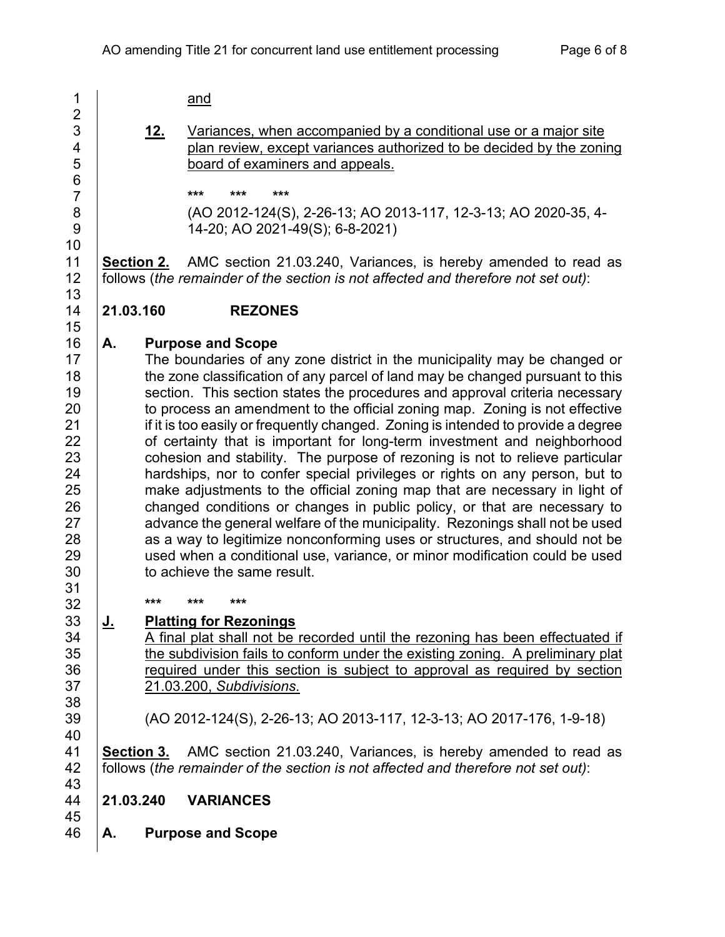| 1                        |                                                                          |                                                                            | and                                                                               |  |  |  |  |
|--------------------------|--------------------------------------------------------------------------|----------------------------------------------------------------------------|-----------------------------------------------------------------------------------|--|--|--|--|
| $\overline{c}$           |                                                                          |                                                                            |                                                                                   |  |  |  |  |
| 3                        |                                                                          | <u>12.</u>                                                                 | Variances, when accompanied by a conditional use or a major site                  |  |  |  |  |
| $\overline{\mathcal{A}}$ |                                                                          |                                                                            | plan review, except variances authorized to be decided by the zoning              |  |  |  |  |
| 5                        |                                                                          |                                                                            | board of examiners and appeals.                                                   |  |  |  |  |
| $\overline{6}$           |                                                                          |                                                                            |                                                                                   |  |  |  |  |
| $\overline{7}$           |                                                                          |                                                                            | ***<br>***<br>***                                                                 |  |  |  |  |
| 8                        |                                                                          |                                                                            | (AO 2012-124(S), 2-26-13; AO 2013-117, 12-3-13; AO 2020-35, 4-                    |  |  |  |  |
| 9                        |                                                                          |                                                                            | 14-20; AO 2021-49(S); 6-8-2021)                                                   |  |  |  |  |
| 10                       |                                                                          |                                                                            |                                                                                   |  |  |  |  |
| 11                       |                                                                          |                                                                            | <b>Section 2.</b> AMC section 21.03.240, Variances, is hereby amended to read as  |  |  |  |  |
| 12                       |                                                                          |                                                                            | follows (the remainder of the section is not affected and therefore not set out): |  |  |  |  |
| 13                       |                                                                          |                                                                            |                                                                                   |  |  |  |  |
| 14                       | 21.03.160                                                                |                                                                            | <b>REZONES</b>                                                                    |  |  |  |  |
| 15                       |                                                                          |                                                                            |                                                                                   |  |  |  |  |
| 16                       | А.                                                                       |                                                                            | <b>Purpose and Scope</b>                                                          |  |  |  |  |
| 17                       |                                                                          |                                                                            | The boundaries of any zone district in the municipality may be changed or         |  |  |  |  |
| 18                       |                                                                          |                                                                            | the zone classification of any parcel of land may be changed pursuant to this     |  |  |  |  |
| 19                       |                                                                          |                                                                            | section. This section states the procedures and approval criteria necessary       |  |  |  |  |
| 20                       |                                                                          |                                                                            | to process an amendment to the official zoning map. Zoning is not effective       |  |  |  |  |
| 21                       |                                                                          |                                                                            | if it is too easily or frequently changed. Zoning is intended to provide a degree |  |  |  |  |
| 22                       |                                                                          |                                                                            |                                                                                   |  |  |  |  |
| 23                       | of certainty that is important for long-term investment and neighborhood |                                                                            |                                                                                   |  |  |  |  |
| 24                       |                                                                          |                                                                            | cohesion and stability. The purpose of rezoning is not to relieve particular      |  |  |  |  |
| 25                       |                                                                          |                                                                            | hardships, nor to confer special privileges or rights on any person, but to       |  |  |  |  |
|                          |                                                                          |                                                                            | make adjustments to the official zoning map that are necessary in light of        |  |  |  |  |
| 26<br>27                 | changed conditions or changes in public policy, or that are necessary to |                                                                            |                                                                                   |  |  |  |  |
|                          |                                                                          |                                                                            | advance the general welfare of the municipality. Rezonings shall not be used      |  |  |  |  |
| 28                       |                                                                          |                                                                            | as a way to legitimize nonconforming uses or structures, and should not be        |  |  |  |  |
| 29                       |                                                                          | used when a conditional use, variance, or minor modification could be used |                                                                                   |  |  |  |  |
| 30                       |                                                                          |                                                                            | to achieve the same result.                                                       |  |  |  |  |
| 31                       |                                                                          | ***                                                                        | ***<br>***                                                                        |  |  |  |  |
| 32                       |                                                                          |                                                                            |                                                                                   |  |  |  |  |
| 33                       |                                                                          |                                                                            | <b>Platting for Rezonings</b>                                                     |  |  |  |  |
| 34                       |                                                                          |                                                                            | A final plat shall not be recorded until the rezoning has been effectuated if     |  |  |  |  |
| 35                       |                                                                          |                                                                            | the subdivision fails to conform under the existing zoning. A preliminary plat    |  |  |  |  |
| 36                       |                                                                          |                                                                            | required under this section is subject to approval as required by section         |  |  |  |  |
| 37                       |                                                                          |                                                                            | 21.03.200, Subdivisions.                                                          |  |  |  |  |
| 38                       |                                                                          |                                                                            |                                                                                   |  |  |  |  |
| 39                       |                                                                          |                                                                            | (AO 2012-124(S), 2-26-13; AO 2013-117, 12-3-13; AO 2017-176, 1-9-18)              |  |  |  |  |
| 40                       |                                                                          |                                                                            |                                                                                   |  |  |  |  |
| 41                       |                                                                          |                                                                            | <b>Section 3.</b> AMC section 21.03.240, Variances, is hereby amended to read as  |  |  |  |  |
| 42                       |                                                                          |                                                                            | follows (the remainder of the section is not affected and therefore not set out): |  |  |  |  |
| 43                       |                                                                          |                                                                            |                                                                                   |  |  |  |  |
| 44                       | 21.03.240                                                                |                                                                            | <b>VARIANCES</b>                                                                  |  |  |  |  |
| 45                       |                                                                          |                                                                            |                                                                                   |  |  |  |  |
| 46                       | А.                                                                       |                                                                            | <b>Purpose and Scope</b>                                                          |  |  |  |  |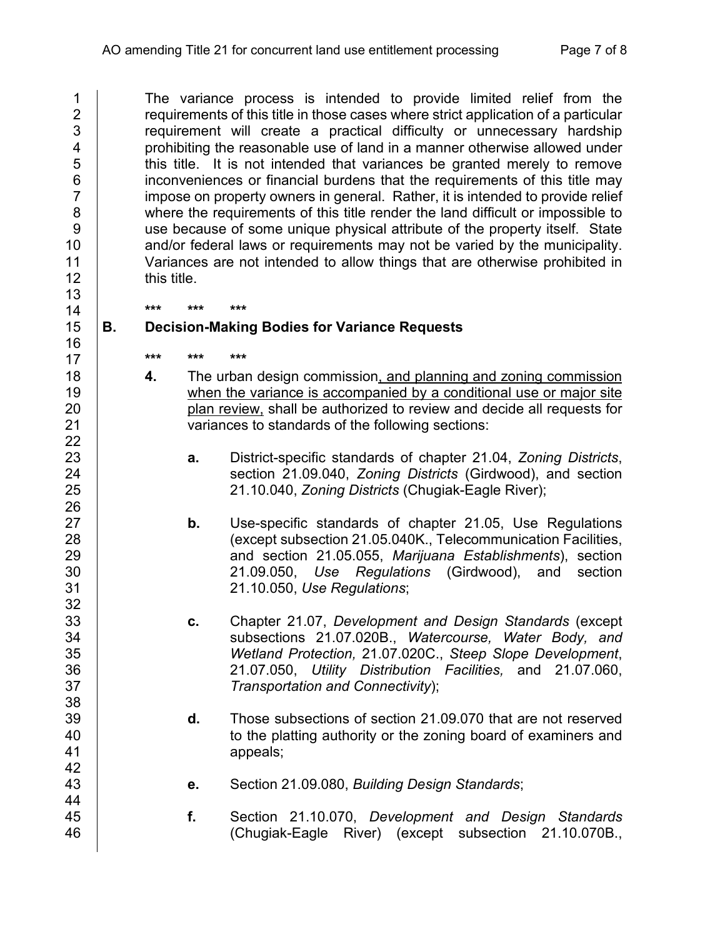1 The variance process is intended to provide limited relief from the<br>2 requirements of this title in those cases where strict application of a particular 2 components of this title in those cases where strict application of a particular<br>2 component will create a practical difficulty or unnecessary hardship 3 requirement will create a practical difficulty or unnecessary hardship<br>4 **probability on the creasonable use of land in a manner otherwise allowed under** prohibiting the reasonable use of land in a manner otherwise allowed under 5 this title. It is not intended that variances be granted merely to remove 6 inconveniences or financial burdens that the requirements of this title may<br>7 innose on property owners in general. Rather, it is intended to provide relief impose on property owners in general. Rather, it is intended to provide relief 8 where the requirements of this title render the land difficult or impossible to 9 | use because of some unique physical attribute of the property itself. State 10 and/or federal laws or requirements may not be varied by the municipality.<br>11 Variances are not intended to allow things that are otherwise prohibited in Variances are not intended to allow things that are otherwise prohibited in 12 | this title.

#### **\*\*\* \*\*\* \*\*\* B. Decision-Making Bodies for Variance Requests**

- **\*\*\* \*\*\* \*\*\***
- **4.** The urban design commission, and planning and zoning commission **19** when the variance is accompanied by a conditional use or major site plan review, shall be authorized to review and decide all requests for <br>21 **parts** variances to standards of the following sections: variances to standards of the following sections:
- **a.** District-specific standards of chapter 21.04, *Zoning Districts*, section 21.09.040, *Zoning Districts* (Girdwood), and section 21.10.040, *Zoning Districts* (Chugiak-Eagle River);
- **b.** Use-specific standards of chapter 21.05, Use Regulations (except subsection 21.05.040K., Telecommunication Facilities, and section 21.05.055, *Marijuana Establishments*), section 21.09.050, *Use Regulations* (Girdwood), and section 21.10.050, *Use Regulations*;
- **c.** Chapter 21.07, *Development and Design Standards* (except subsections 21.07.020B., *Watercourse, Water Body, and Wetland Protection,* 21.07.020C., *Steep Slope Development*, 21.07.050, *Utility Distribution Facilities,* and 21.07.060, *Transportation and Connectivity*);
- 39 **d.** Those subsections of section 21.09.070 that are not reserved<br>40 **d.** to the platting authority or the zoning board of examiners and to the platting authority or the zoning board of examiners and 41 appeals;
- **e.** Section 21.09.080, *Building Design Standards*;
- **f.** Section 21.10.070, *Development and Design Standards* (Chugiak-Eagle River) (except subsection 21.10.070B.,